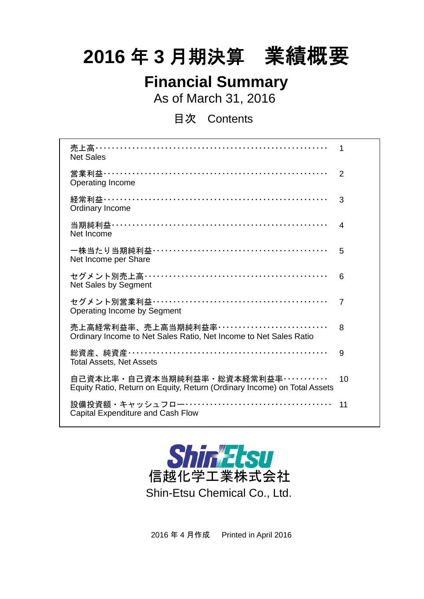# **2016** 年 **3** 月期決算 業績概要

# **Financial Summary**

As of March 31, 2016

目次 Contents

| 売上高…………………………………………………………<br>1<br><b>Net Sales</b>                                                                      |    |
|-------------------------------------------------------------------------------------------------------------------------|----|
| 営業利益…………………………………………………………<br>2<br>Operating Income                                                                     |    |
| 経常利益…………………………………………………………<br>3<br>Ordinary Income                                                                      |    |
| 当期純利益…………………………………………………………<br>$\overline{4}$<br>Net Income                                                             |    |
| 5<br>Net Income per Share                                                                                               |    |
| セグメント別売上高……………………………………………<br>6<br>Net Sales by Segment                                                                 |    |
| セグメント別営業利益……………………………………………<br>7<br>Operating Income by Segment                                                         |    |
| 売上高経常利益率、売上高当期純利益率・・・・・・・・・・・・・・・・・・・・・・・・・・・<br>8<br>Ordinary Income to Net Sales Ratio, Net Income to Net Sales Ratio |    |
| 9<br><b>Total Assets, Net Assets</b>                                                                                    |    |
| 自己資本比率・自己資本当期純利益率・総資本経常利益率・・・・・・・・・・・・<br>Equity Ratio, Return on Equity, Return (Ordinary Income) on Total Assets      | 10 |
| 設備投資額・キャッシュフロー……………………………………<br>11<br>Capital Expenditure and Cash Flow                                                 |    |



2016 年 4 月作成 Printed in April 2016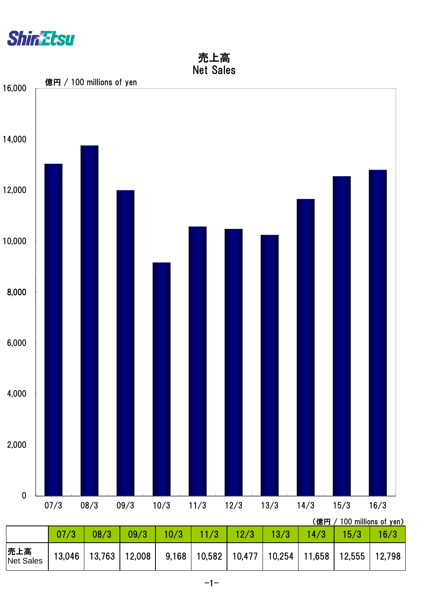

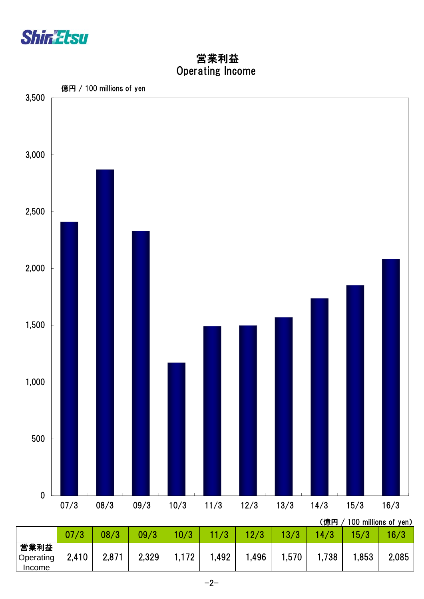

 Operating Income 営業利益

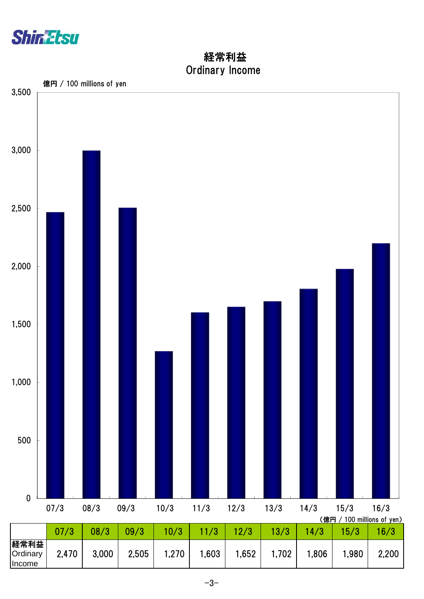

 Ordinary Income 経常利益

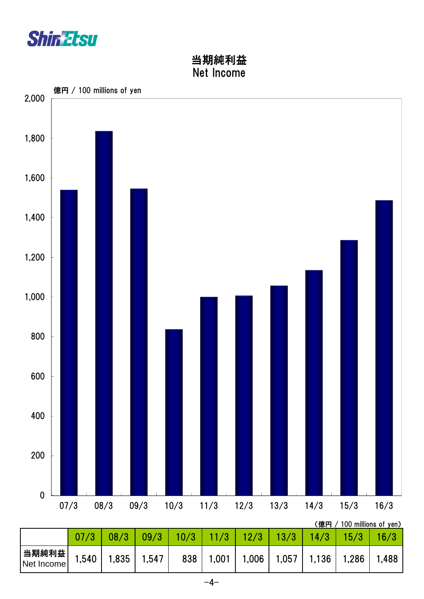

Net Income

## 当期純利益 Net Income



当期純利益 | 1,540 | 1,835 | 1,547 | 838 | 1,001 | 1,006 | 1,057 | 1,136 | 1,286 | 1,488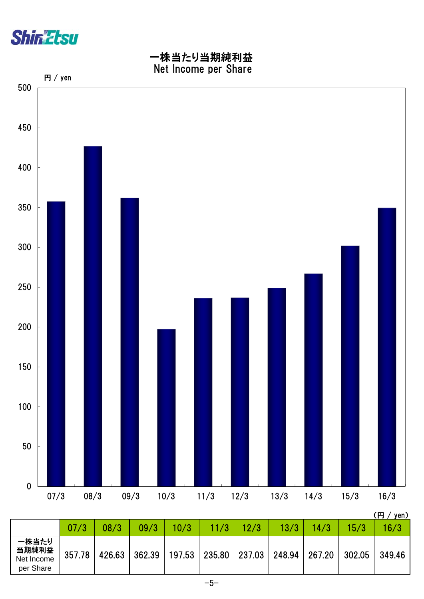



| 10/3<br>11/3<br>12/3<br>07/3<br>08/3<br>09/3<br>13/3<br>14/3<br>15/3<br>16/3<br>一株当たり<br>当期純利益<br>357.78<br>362.39<br>235.80<br>426.63<br>237.03<br>267.20<br>302.05<br>248.94<br>197.53<br>Net Income<br>per Share |  |  |  |  |  | \\\ <i>\\\\</i> \\\\ |
|---------------------------------------------------------------------------------------------------------------------------------------------------------------------------------------------------------------------|--|--|--|--|--|----------------------|
|                                                                                                                                                                                                                     |  |  |  |  |  |                      |
|                                                                                                                                                                                                                     |  |  |  |  |  | 349.46               |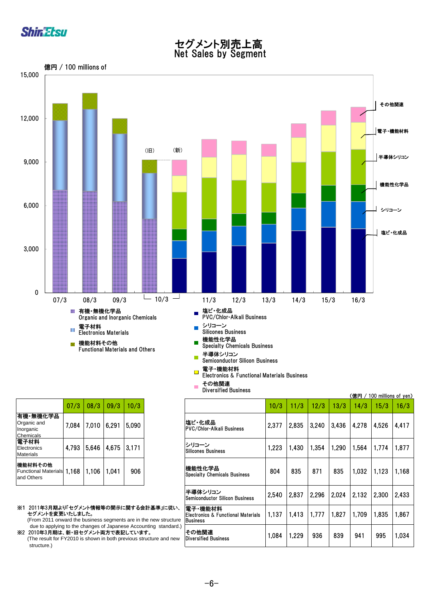

#### セグメント別売上高 Net Sales by Segment



その他関連 Diversified Business

 $\overline{\phantom{a}}$ 

|                                                     | 07/3  | 08/3   | 09/3  | 10/3  |
|-----------------------------------------------------|-------|--------|-------|-------|
| 有機 無機化学品<br>Organic and<br>Inorganic<br>Chemicals   | 7.084 | 17,010 | 6.291 | 5,090 |
| 電子材料<br>Electronics<br><b>Materials</b>             | 4.793 | 5,646  | 4,675 | 3,171 |
| 機能材料その他<br>Functional Materials 1,168<br>and Others |       | 1,106  | 1.041 | 906   |

- ※1 2011年3月期より「セグメント情報等の開示に関する会計基準」に従い、 セグメントを変更いたしました。
- (From 2011 onward the business segments are in the new structure due to applying to the changes of Japanese Accounting standard.) ※2 2010年3月期は、新・旧セグメント両方で表記しています。
- (The result for FY2010 is shown in both previous structure and new structure.)

|                                                                                                                                                                                                                           |       |       |       |  |                                                            |       |       |       |                                      |       | (億円 / 100 millions of yen) |       |       |       |       |       |
|---------------------------------------------------------------------------------------------------------------------------------------------------------------------------------------------------------------------------|-------|-------|-------|--|------------------------------------------------------------|-------|-------|-------|--------------------------------------|-------|----------------------------|-------|-------|-------|-------|-------|
| 07/3                                                                                                                                                                                                                      | 08/3  | 09/3  | 10/3  |  |                                                            | 10/3  | 11/3  | 12/3  | 13/3                                 | 14/3  | 15/3                       | 16/3  |       |       |       |       |
| 7,084                                                                                                                                                                                                                     | 7,010 | 6,291 | 5,090 |  |                                                            |       |       |       | 塩ビ・化成品 <br>PVC/Chlor-Alkali Business | 2,377 | 2,835                      | 3.240 | 3,436 | 4,278 | 4,526 | 4.417 |
| 4,793                                                                                                                                                                                                                     | 5,646 | 4,675 | 3,171 |  | シリコーン<br><b>Silicones Business</b>                         | 1,223 | 1,430 | 1,354 | 1,290                                | 1,564 | 1,774                      | 1,877 |       |       |       |       |
| 1,168                                                                                                                                                                                                                     | 1,106 | 1,041 | 906   |  | 機能性化学品<br><b>Specialty Chemicals Business</b>              | 804   | 835   | 871   | 835                                  | 1,032 | 1,123                      | 1,168 |       |       |       |       |
|                                                                                                                                                                                                                           |       |       |       |  | 半導体シリコン<br><b>Semiconductor Silicon Business</b>           | 2,540 | 2,837 | 2,296 | 2,024                                | 2,132 | 2,300                      | 2,433 |       |       |       |       |
| 「セグメント情報等の開示に関する会計基準」に従い、<br>いたしました。<br>ard the business segments are in the new structure<br>to the changes of Japanese Accounting standard.)<br>新・旧セグメント両方で表記しています。<br>2010 is shown in both previous structure and new |       |       |       |  | 電子·機能材料<br>lElectronics & Functional Materials<br>Business | 1,137 | 1,413 | 1,777 | 1.827                                | 1.709 | 1.835                      | 1.867 |       |       |       |       |
|                                                                                                                                                                                                                           |       |       |       |  | その他関連<br> Diversified Business                             | 1,084 | 1,229 | 936   | 839                                  | 941   | 995                        | 1,034 |       |       |       |       |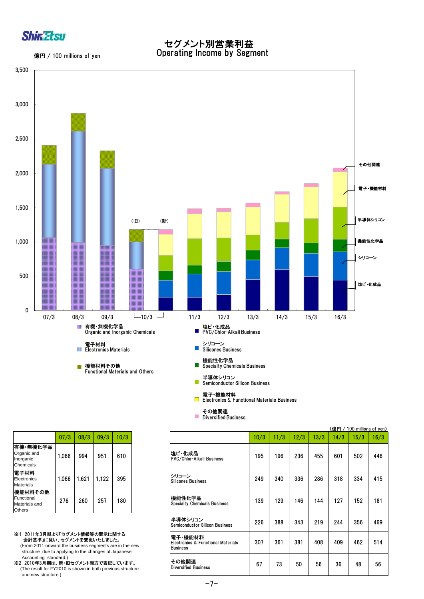

億円 / 100 millions of yen

 セグメント別営業利益 Operating Income by Segment



|                                                   | 07/3  | 08/3  | 09/3  | 10/3 |
|---------------------------------------------------|-------|-------|-------|------|
| 有機 無機化学品<br>Organic and<br>Inorganic<br>Chemicals | 1,066 | 994   | 951   | 610  |
| 電子材料<br>Electronics<br>Materials                  | 1,066 | 1,621 | 1,122 | 395  |
| 機能材料その他<br>Functional<br>Materials and<br>Others  | 276   | 260   | 257   | 180  |

※1 2011年3月期より「セグメント情報等の開示に関する 会計基準」に従い、セグメントを変更いたしました。 (From 2011 onward the business segments are in the new

structure due to applying to the changes of Japanese Accounting standard.)

※2 2010年3月期は、新・旧セグメント両方で表記しています。 (The result for FY2010 is shown in both previous structure and new structure.)

|                                                                                                                         |       |                                      |      |                                               |                                               |      |      |      |      |      | (億円 / 100 millions of yen) |      |
|-------------------------------------------------------------------------------------------------------------------------|-------|--------------------------------------|------|-----------------------------------------------|-----------------------------------------------|------|------|------|------|------|----------------------------|------|
| 07/3                                                                                                                    | 08/3  | 09/3                                 | 10/3 |                                               |                                               | 10/3 | 11/3 | 12/3 | 13/3 | 14/3 | 15/3                       | 16/3 |
| 1,066                                                                                                                   | 994   | 951                                  | 610  |                                               | 塩ビ・化成品 <br>PVC/Chlor-Alkali Business          | 195  | 196  | 236  | 455  | 601  | 502                        | 446  |
| 1,066                                                                                                                   | 1,621 | 1,122                                | 395  |                                               | シリコーン<br><b>Silicones Business</b>            | 249  | 340  | 336  | 286  | 318  | 334                        | 415  |
| 276                                                                                                                     | 260   | 257                                  | 180  |                                               | 機能性化学品<br><b>Specialty Chemicals Business</b> | 139  | 129  | 146  | 144  | 127  | 152                        | 181  |
| 半導体シリコン<br><b>Semiconductor Silicon Business</b>                                                                        |       |                                      |      |                                               |                                               | 226  | 388  | 343  | 219  | 244  | 356                        | 469  |
| バセグメント情報等の開示に関する<br>、セグメントを変更いたしました。<br>d the business segments are in the new<br>Business                              |       |                                      |      | 電子 機能材料<br>Electronics & Functional Materials | 307                                           | 361  | 381  | 408  | 409  | 462  | 514                        |      |
| applying to the changes of Japanese<br>(.lard<br>新・旧セグメント両方で表記しています。<br>2010 is shown in both previous structure<br>e.) |       | その他関連<br><b>Diversified Business</b> | 67   | 73                                            | 50                                            | 56   | 36   | 48   | 56   |      |                            |      |

その他関連 Diversified Business

 $\mathcal{L}_{\mathcal{A}}$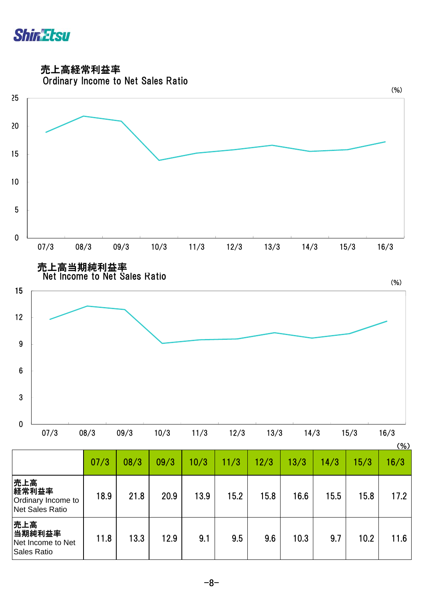

売上高経常利益率



|                                                              |      |      |      |      |      |      |      |      |      | <b>101</b> |
|--------------------------------------------------------------|------|------|------|------|------|------|------|------|------|------------|
|                                                              | 07/3 | 08/3 | 09/3 | 10/3 | 11/3 | 12/3 | 13/3 | 14/3 | 15/3 | 16/3       |
| 売上高<br>経常利益率<br>Ordinary Income to<br><b>Net Sales Ratio</b> | 18.9 | 21.8 | 20.9 | 13.9 | 15.2 | 15.8 | 16.6 | 15.5 | 15.8 | 17.2       |
| 売上高<br>当期純利益率<br>Net Income to Net<br>Sales Ratio            | 11.8 | 13.3 | 12.9 | 9.1  | 9.5  | 9.6  | 10.3 | 9.7  | 10.2 | 11.6       |

-8-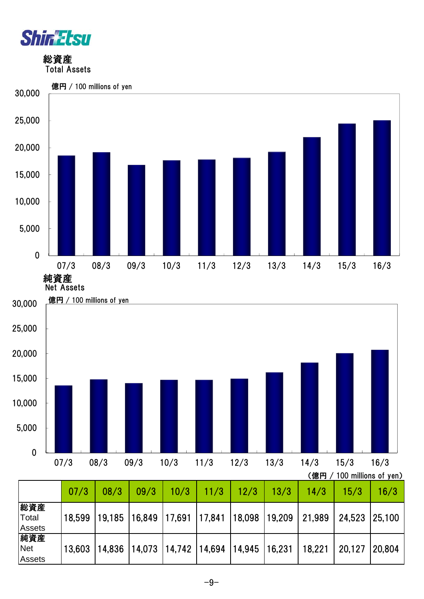

Assets

 総資産 Total Assets



#### $-9-$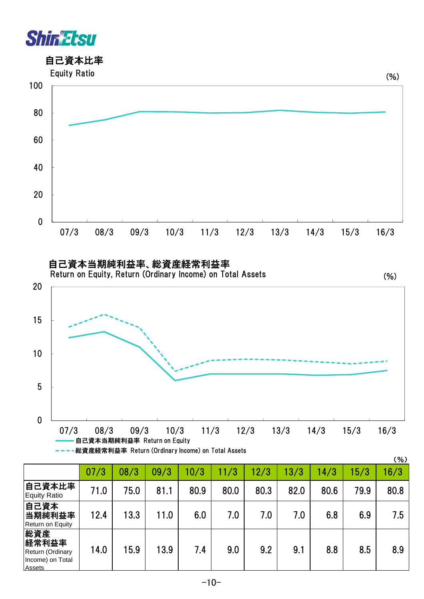



 自己資本当期純利益率、総資産経常利益率 Return on Equity, Return (Ordinary Income) on Total Assets



 $(1, 1)$ 



|                                                                       |      |      |      |      |      |      |      |      |      | $($ %) |
|-----------------------------------------------------------------------|------|------|------|------|------|------|------|------|------|--------|
|                                                                       | 07/3 | 08/3 | 09/3 | 10/3 | 11/3 | 2/3  | 13/3 | 14/3 | 5/3  | 16/3   |
| 自己資本比率<br><b>Equity Ratio</b>                                         | 71.0 | 75.0 | 81.1 | 80.9 | 80.0 | 80.3 | 82.0 | 80.6 | 79.9 | 80.8   |
| 自己資本<br>当期純利益率<br>Return on Equity                                    | 12.4 | 13.3 | 11.0 | 6.0  | 7.0  | 7.0  | 7.0  | 6.8  | 6.9  | 7.5    |
| 総資産<br>経常利益率<br>Return (Ordinary<br>Income) on Total<br><b>Assets</b> | 14.0 | 15.9 | 13.9 | 7.4  | 9.0  | 9.2  | 9.1  | 8.8  | 8.5  | 8.9    |